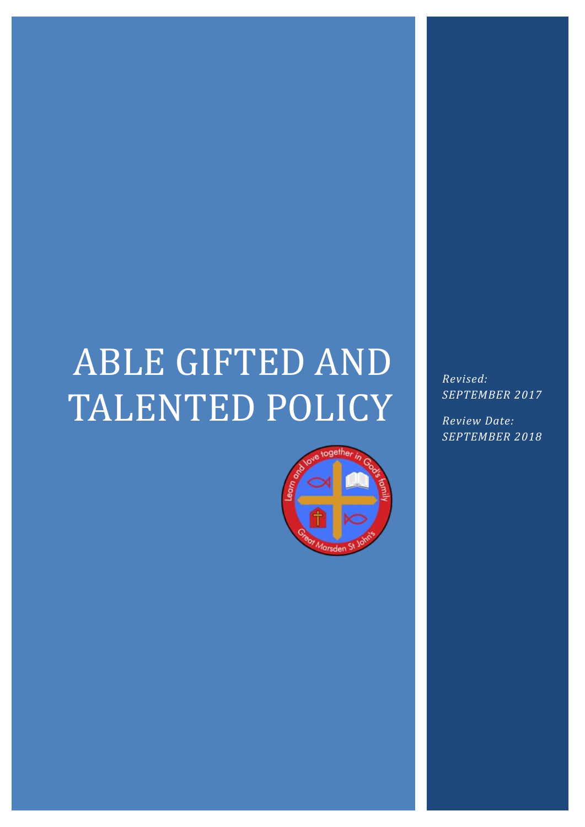# ABLE GIFTED AND TALENTED POLICY



*Revised: SEPTEMBER 2017*

*Review Date: SEPTEMBER 2018*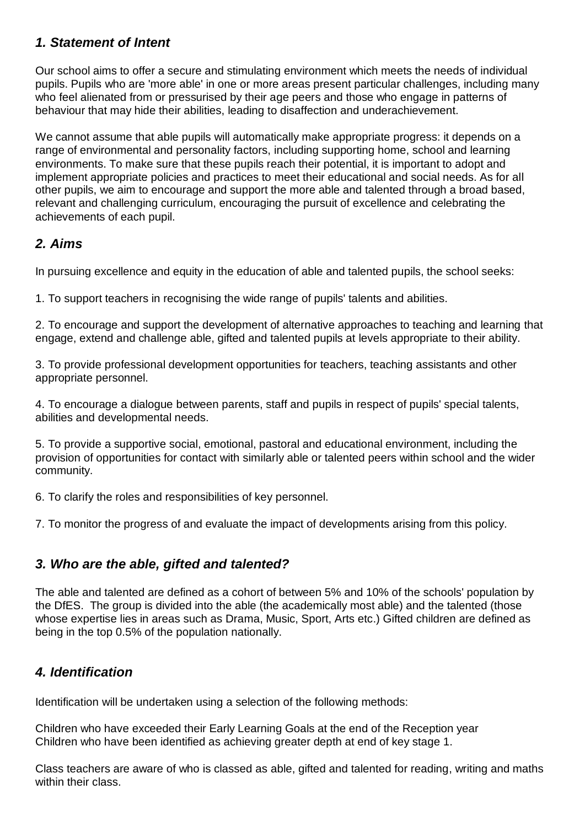## *1. Statement of Intent*

Our school aims to offer a secure and stimulating environment which meets the needs of individual pupils. Pupils who are 'more able' in one or more areas present particular challenges, including many who feel alienated from or pressurised by their age peers and those who engage in patterns of behaviour that may hide their abilities, leading to disaffection and underachievement.

We cannot assume that able pupils will automatically make appropriate progress: it depends on a range of environmental and personality factors, including supporting home, school and learning environments. To make sure that these pupils reach their potential, it is important to adopt and implement appropriate policies and practices to meet their educational and social needs. As for all other pupils, we aim to encourage and support the more able and talented through a broad based, relevant and challenging curriculum, encouraging the pursuit of excellence and celebrating the achievements of each pupil.

### *2. Aims*

In pursuing excellence and equity in the education of able and talented pupils, the school seeks:

1. To support teachers in recognising the wide range of pupils' talents and abilities.

2. To encourage and support the development of alternative approaches to teaching and learning that engage, extend and challenge able, gifted and talented pupils at levels appropriate to their ability.

3. To provide professional development opportunities for teachers, teaching assistants and other appropriate personnel.

4. To encourage a dialogue between parents, staff and pupils in respect of pupils' special talents, abilities and developmental needs.

5. To provide a supportive social, emotional, pastoral and educational environment, including the provision of opportunities for contact with similarly able or talented peers within school and the wider community.

6. To clarify the roles and responsibilities of key personnel.

7. To monitor the progress of and evaluate the impact of developments arising from this policy.

## *3. Who are the able, gifted and talented?*

The able and talented are defined as a cohort of between 5% and 10% of the schools' population by the DfES. The group is divided into the able (the academically most able) and the talented (those whose expertise lies in areas such as Drama, Music, Sport, Arts etc.) Gifted children are defined as being in the top 0.5% of the population nationally.

## *4. Identification*

Identification will be undertaken using a selection of the following methods:

Children who have exceeded their Early Learning Goals at the end of the Reception year Children who have been identified as achieving greater depth at end of key stage 1.

Class teachers are aware of who is classed as able, gifted and talented for reading, writing and maths within their class.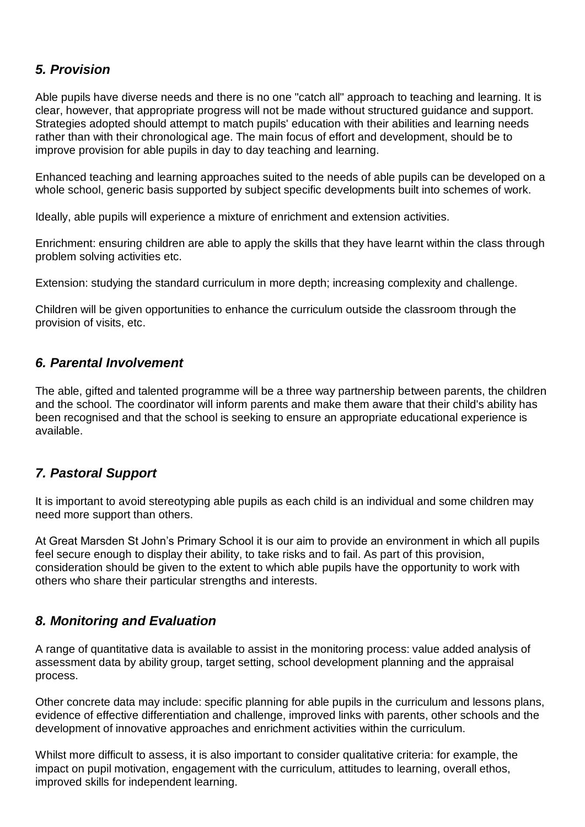## *5. Provision*

Able pupils have diverse needs and there is no one "catch all" approach to teaching and learning. It is clear, however, that appropriate progress will not be made without structured guidance and support. Strategies adopted should attempt to match pupils' education with their abilities and learning needs rather than with their chronological age. The main focus of effort and development, should be to improve provision for able pupils in day to day teaching and learning.

Enhanced teaching and learning approaches suited to the needs of able pupils can be developed on a whole school, generic basis supported by subject specific developments built into schemes of work.

Ideally, able pupils will experience a mixture of enrichment and extension activities.

Enrichment: ensuring children are able to apply the skills that they have learnt within the class through problem solving activities etc.

Extension: studying the standard curriculum in more depth; increasing complexity and challenge.

Children will be given opportunities to enhance the curriculum outside the classroom through the provision of visits, etc.

#### *6. Parental Involvement*

The able, gifted and talented programme will be a three way partnership between parents, the children and the school. The coordinator will inform parents and make them aware that their child's ability has been recognised and that the school is seeking to ensure an appropriate educational experience is available.

#### *7. Pastoral Support*

It is important to avoid stereotyping able pupils as each child is an individual and some children may need more support than others.

At Great Marsden St John's Primary School it is our aim to provide an environment in which all pupils feel secure enough to display their ability, to take risks and to fail. As part of this provision, consideration should be given to the extent to which able pupils have the opportunity to work with others who share their particular strengths and interests.

#### *8. Monitoring and Evaluation*

A range of quantitative data is available to assist in the monitoring process: value added analysis of assessment data by ability group, target setting, school development planning and the appraisal process.

Other concrete data may include: specific planning for able pupils in the curriculum and lessons plans, evidence of effective differentiation and challenge, improved links with parents, other schools and the development of innovative approaches and enrichment activities within the curriculum.

Whilst more difficult to assess, it is also important to consider qualitative criteria: for example, the impact on pupil motivation, engagement with the curriculum, attitudes to learning, overall ethos, improved skills for independent learning.